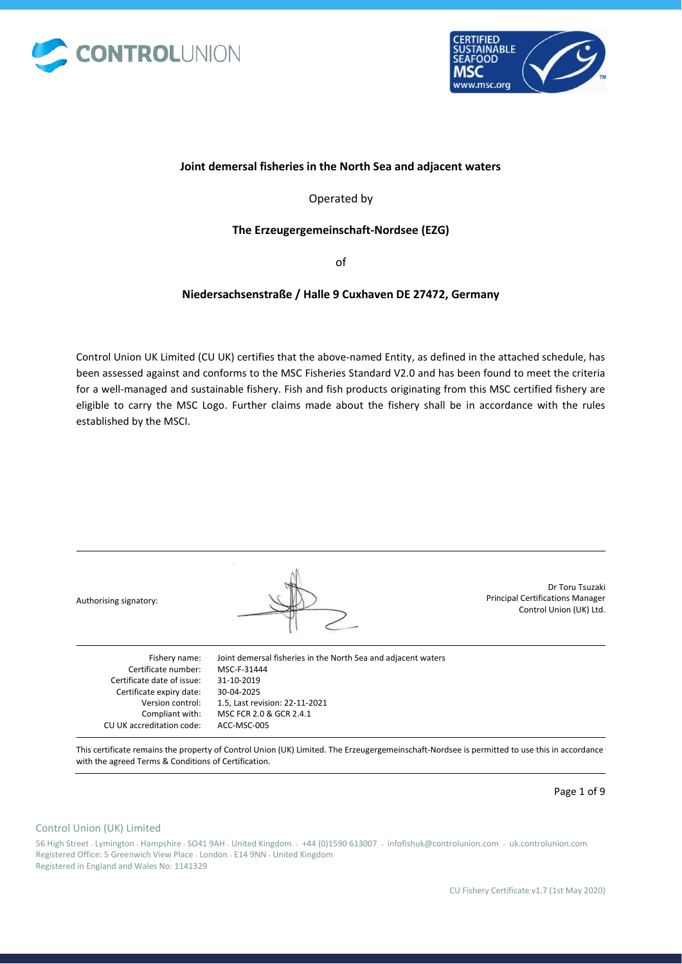



### **Joint demersal fisheries in the North Sea and adjacent waters**

Operated by

### **The Erzeugergemeinschaft-Nordsee (EZG)**

of

## **Niedersachsenstraße / Halle 9 Cuxhaven DE 27472, Germany**

Control Union UK Limited (CU UK) certifies that the above-named Entity, as defined in the attached schedule, has been assessed against and conforms to the MSC Fisheries Standard V2.0 and has been found to meet the criteria for a well-managed and sustainable fishery. Fish and fish products originating from this MSC certified fishery are eligible to carry the MSC Logo. Further claims made about the fishery shall be in accordance with the rules established by the MSCI.

| Authorising signatory:     |                                                               | Dr Toru Tsuzaki<br><b>Principal Certifications Manager</b><br>Control Union (UK) Ltd. |
|----------------------------|---------------------------------------------------------------|---------------------------------------------------------------------------------------|
| Fishery name:              | Joint demersal fisheries in the North Sea and adjacent waters |                                                                                       |
| Certificate number:        | MSC-F-31444                                                   |                                                                                       |
| Certificate date of issue: | 31-10-2019                                                    |                                                                                       |
| Certificate expiry date:   | 30-04-2025                                                    |                                                                                       |
| Version control:           | 1.5, Last revision: 22-11-2021                                |                                                                                       |
| Compliant with:            | MSC FCR 2.0 & GCR 2.4.1                                       |                                                                                       |
| CU UK accreditation code:  | ACC-MSC-005                                                   |                                                                                       |

This certificate remains the property of Control Union (UK) Limited. The Erzeugergemeinschaft-Nordsee is permitted to use this in accordance with the agreed Terms & Conditions of Certification.

Page 1 of 9

#### Control Union (UK) Limited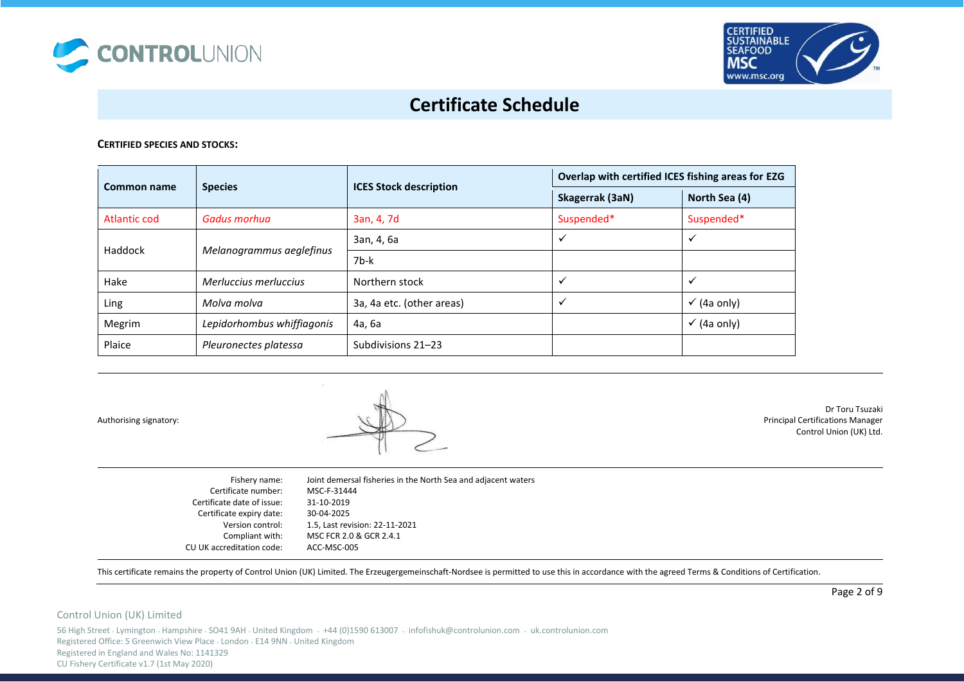



### **CERTIFIED SPECIES AND STOCKS:**

| Common name                         | <b>Species</b>             | <b>ICES Stock description</b> | Overlap with certified ICES fishing areas for EZG |                        |
|-------------------------------------|----------------------------|-------------------------------|---------------------------------------------------|------------------------|
|                                     |                            |                               | Skagerrak (3aN)                                   | North Sea (4)          |
| Atlantic cod                        | Gadus morhua               | 3an, 4, 7d                    | Suspended*                                        | Suspended*             |
| Haddock<br>Melanogrammus aeglefinus | 3an, 4, 6a                 | ✓                             | ✓                                                 |                        |
|                                     |                            | 7b-k                          |                                                   |                        |
| Hake                                | Merluccius merluccius      | Northern stock                | ✓                                                 | $\checkmark$           |
| Ling                                | Molva molva                | 3a, 4a etc. (other areas)     | ✓                                                 | $\checkmark$ (4a only) |
| Megrim                              | Lepidorhombus whiffiagonis | 4а, 6а                        |                                                   | $\checkmark$ (4a only) |
| Plaice                              | Pleuronectes platessa      | Subdivisions 21-23            |                                                   |                        |

Authorising signatory:



Dr Toru Tsuzaki Principal Certifications Manager Control Union (UK) Ltd.

| Fishery name:              | Joint demersal fisheries in the North Sea and adjacent waters |
|----------------------------|---------------------------------------------------------------|
| Certificate number:        | MSC-F-31444                                                   |
| Certificate date of issue: | 31-10-2019                                                    |
| Certificate expiry date:   | 30-04-2025                                                    |
| Version control:           | 1.5, Last revision: 22-11-2021                                |
| Compliant with:            | MSC FCR 2.0 & GCR 2.4.1                                       |
| CU UK accreditation code:  | ACC-MSC-005                                                   |

This certificate remains the property of Control Union (UK) Limited. The Erzeugergemeinschaft-Nordsee is permitted to use this in accordance with the agreed Terms & Conditions of Certification.

### Control Union (UK) Limited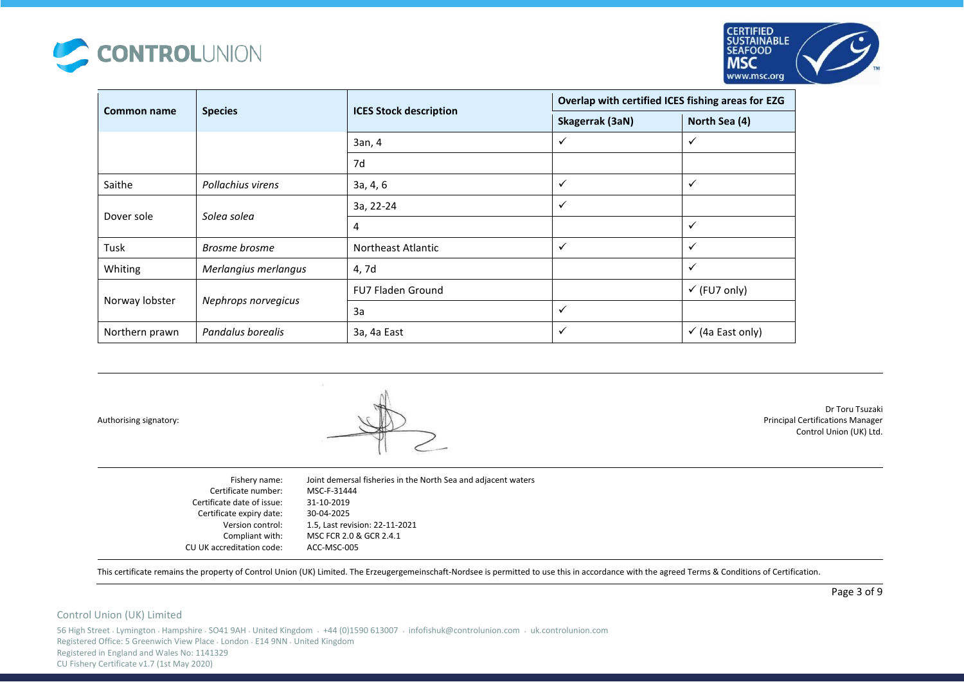



| Common name    | <b>Species</b>       | <b>ICES Stock description</b> | Overlap with certified ICES fishing areas for EZG |                             |
|----------------|----------------------|-------------------------------|---------------------------------------------------|-----------------------------|
|                |                      |                               | Skagerrak (3aN)                                   | North Sea (4)               |
|                |                      | 3an, 4                        | ✓                                                 | ✓                           |
|                |                      | 7d                            |                                                   |                             |
| Saithe         | Pollachius virens    | 3a, 4, 6                      | ✓                                                 | $\checkmark$                |
| Dover sole     | Solea solea          | 3a, 22-24                     | $\checkmark$                                      |                             |
|                |                      | $\overline{4}$                |                                                   | $\checkmark$                |
| Tusk           | Brosme brosme        | <b>Northeast Atlantic</b>     | $\checkmark$                                      | $\checkmark$                |
| Whiting        | Merlangius merlangus | 4, 7d                         |                                                   | $\checkmark$                |
| Norway lobster | Nephrops norvegicus  | <b>FU7 Fladen Ground</b>      |                                                   | $\checkmark$ (FU7 only)     |
|                |                      | 3a                            | ✓                                                 |                             |
| Northern prawn | Pandalus borealis    | 3a, 4a East                   | $\checkmark$                                      | $\checkmark$ (4a East only) |

Authorising signatory:



Dr Toru Tsuzaki Principal Certifications Manager Control Union (UK) Ltd.

| Joint demersal fisheries in the North Sea and adjacent waters |
|---------------------------------------------------------------|
| MSC-F-31444                                                   |
| 31-10-2019                                                    |
| 30-04-2025                                                    |
| 1.5, Last revision: 22-11-2021                                |
| MSC FCR 2.0 & GCR 2.4.1                                       |
| ACC-MSC-005                                                   |
|                                                               |

This certificate remains the property of Control Union (UK) Limited. The Erzeugergemeinschaft-Nordsee is permitted to use this in accordance with the agreed Terms & Conditions of Certification.

### Control Union (UK) Limited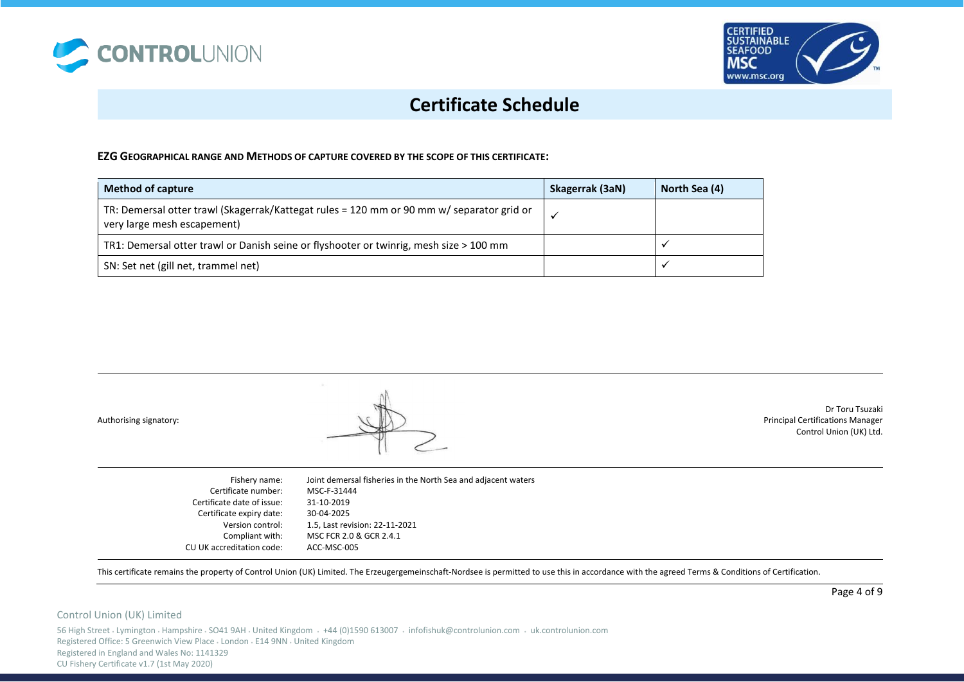



### **EZG GEOGRAPHICAL RANGE AND METHODS OF CAPTURE COVERED BY THE SCOPE OF THIS CERTIFICATE:**

| <b>Method of capture</b>                                                                                                 | Skagerrak (3aN) | North Sea (4) |
|--------------------------------------------------------------------------------------------------------------------------|-----------------|---------------|
| TR: Demersal otter trawl (Skagerrak/Kattegat rules = 120 mm or 90 mm w/ separator grid or<br>very large mesh escapement) |                 |               |
| TR1: Demersal otter trawl or Danish seine or flyshooter or twinrig, mesh size > 100 mm                                   |                 |               |
| SN: Set net (gill net, trammel net)                                                                                      |                 |               |

Authorising signatory:



Dr Toru Tsuzaki Principal Certifications Manager Control Union (UK) Ltd.

| Joint demersal fisheries in the North Sea and adjacent waters |
|---------------------------------------------------------------|
| MSC-F-31444                                                   |
| 31-10-2019                                                    |
| 30-04-2025                                                    |
| 1.5, Last revision: 22-11-2021                                |
| MSC FCR 2.0 & GCR 2.4.1                                       |
| ACC-MSC-005                                                   |
|                                                               |

This certificate remains the property of Control Union (UK) Limited. The Erzeugergemeinschaft-Nordsee is permitted to use this in accordance with the agreed Terms & Conditions of Certification.

### Control Union (UK) Limited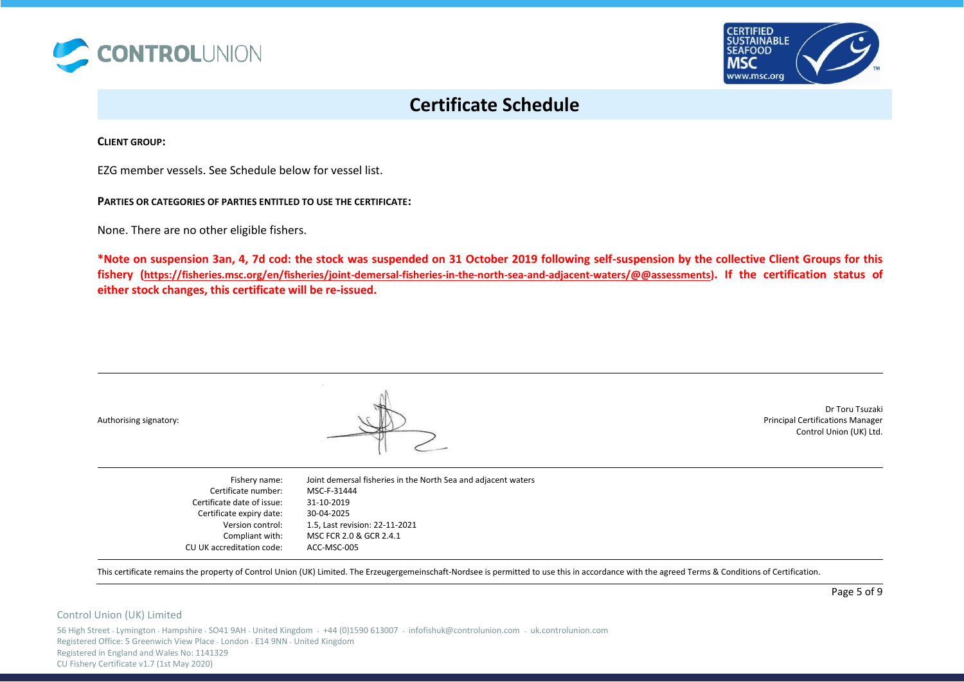



**CLIENT GROUP:** 

EZG member vessels. See Schedule below for vessel list.

**PARTIES OR CATEGORIES OF PARTIES ENTITLED TO USE THE CERTIFICATE:** 

None. There are no other eligible fishers.

**\*Note on suspension 3an, 4, 7d cod: the stock was suspended on 31 October 2019 following self-suspension by the collective Client Groups for this fishery ([https://fisheries.msc.org/en/fisheries/joint-demersal-fisheries-in-the-north-sea-and-adjacent-waters/@@assessments\)](https://fisheries.msc.org/en/fisheries/joint-demersal-fisheries-in-the-north-sea-and-adjacent-waters/@@assessments). If the certification status of either stock changes, this certificate will be re-issued.** 

Authorising signatory:



Dr Toru Tsuzaki Principal Certifications Manager Control Union (UK) Ltd.

| Fishery name:              | Joint demersal fisheries in the North Sea and adjacent waters |
|----------------------------|---------------------------------------------------------------|
| Certificate number:        | MSC-F-31444                                                   |
| Certificate date of issue: | 31-10-2019                                                    |
| Certificate expiry date:   | 30-04-2025                                                    |
| Version control:           | 1.5, Last revision: 22-11-2021                                |
| Compliant with:            | MSC FCR 2.0 & GCR 2.4.1                                       |
| CU UK accreditation code:  | ACC-MSC-005                                                   |

This certificate remains the property of Control Union (UK) Limited. The Erzeugergemeinschaft-Nordsee is permitted to use this in accordance with the agreed Terms & Conditions of Certification.

### Control Union (UK) Limited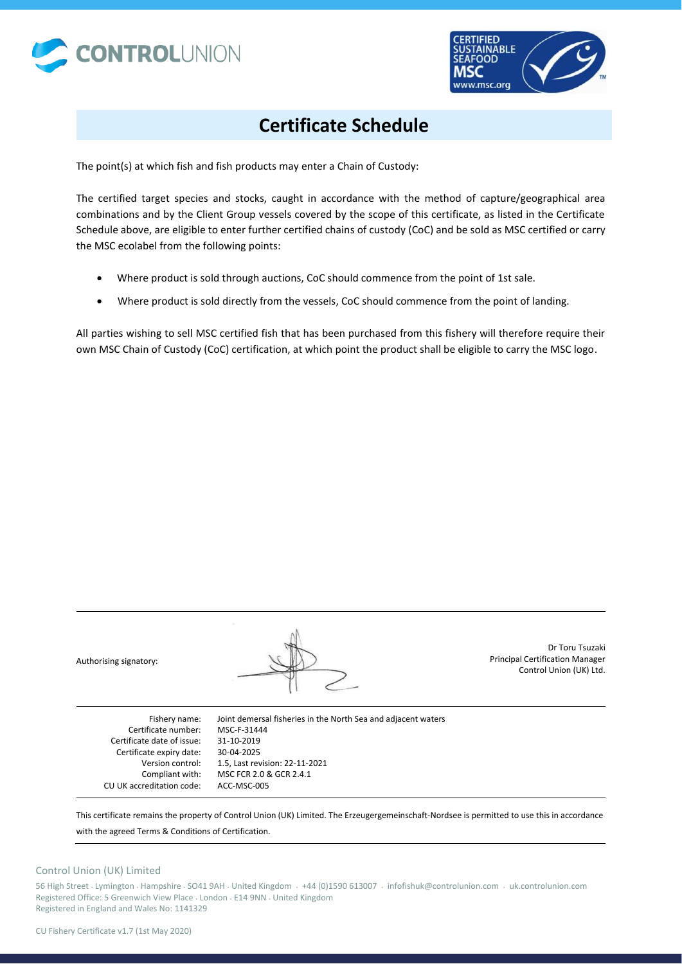



The point(s) at which fish and fish products may enter a Chain of Custody:

The certified target species and stocks, caught in accordance with the method of capture/geographical area combinations and by the Client Group vessels covered by the scope of this certificate, as listed in the Certificate Schedule above, are eligible to enter further certified chains of custody (CoC) and be sold as MSC certified or carry the MSC ecolabel from the following points:

- Where product is sold through auctions, CoC should commence from the point of 1st sale.
- Where product is sold directly from the vessels, CoC should commence from the point of landing.

All parties wishing to sell MSC certified fish that has been purchased from this fishery will therefore require their own MSC Chain of Custody (CoC) certification, at which point the product shall be eligible to carry the MSC logo.



Dr Toru Tsuzaki Principal Certification Manager Control Union (UK) Ltd.

Fishery name: Certificate number: Certificate date of issue: Certificate expiry date: Version control: Compliant with: CU UK accreditation code: Joint demersal fisheries in the North Sea and adjacent waters MSC-F-31444 31-10-2019 30-04-2025 1.5, Last revision: 22-11-2021 MSC FCR 2.0 & GCR 2.4.1 ACC-MSC-005

This certificate remains the property of Control Union (UK) Limited. The Erzeugergemeinschaft-Nordsee is permitted to use this in accordance

with the agreed Terms & Conditions of Certification.

### Control Union (UK) Limited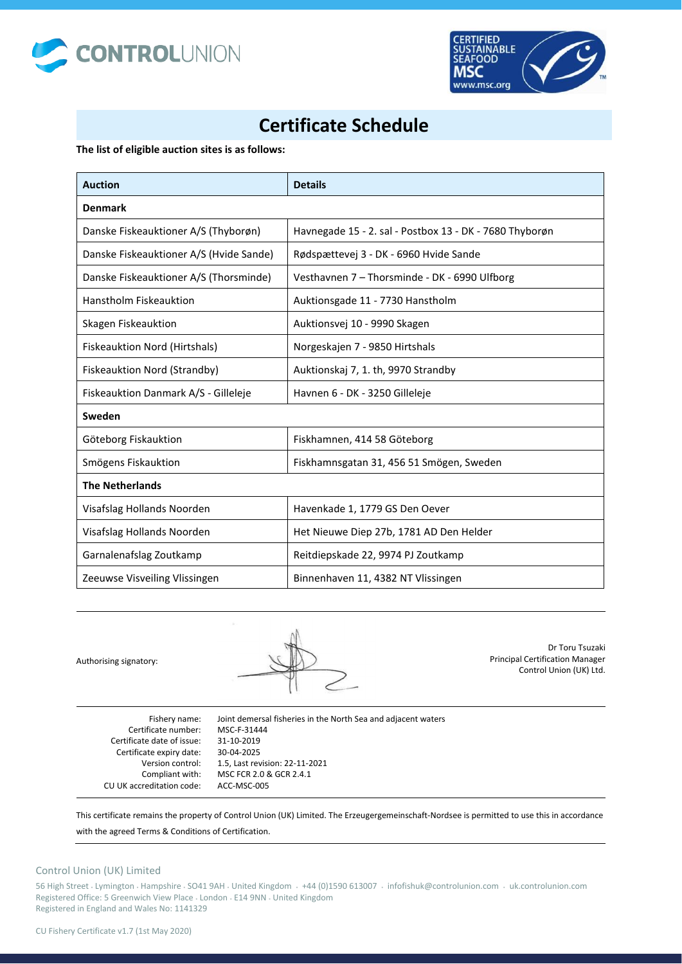



**The list of eligible auction sites is as follows:** 

| <b>Auction</b>                          | <b>Details</b>                                          |  |
|-----------------------------------------|---------------------------------------------------------|--|
| <b>Denmark</b>                          |                                                         |  |
| Danske Fiskeauktioner A/S (Thyborøn)    | Havnegade 15 - 2. sal - Postbox 13 - DK - 7680 Thyborøn |  |
| Danske Fiskeauktioner A/S (Hvide Sande) | Rødspættevej 3 - DK - 6960 Hvide Sande                  |  |
| Danske Fiskeauktioner A/S (Thorsminde)  | Vesthavnen 7 - Thorsminde - DK - 6990 Ulfborg           |  |
| <b>Hanstholm Fiskeauktion</b>           | Auktionsgade 11 - 7730 Hanstholm                        |  |
| Skagen Fiskeauktion                     | Auktionsvej 10 - 9990 Skagen                            |  |
| Fiskeauktion Nord (Hirtshals)           | Norgeskajen 7 - 9850 Hirtshals                          |  |
| Fiskeauktion Nord (Strandby)            | Auktionskaj 7, 1. th, 9970 Strandby                     |  |
| Fiskeauktion Danmark A/S - Gilleleje    | Havnen 6 - DK - 3250 Gilleleje                          |  |
| Sweden                                  |                                                         |  |
| Göteborg Fiskauktion                    | Fiskhamnen, 414 58 Göteborg                             |  |
| Smögens Fiskauktion                     | Fiskhamnsgatan 31, 456 51 Smögen, Sweden                |  |
| <b>The Netherlands</b>                  |                                                         |  |
| Visafslag Hollands Noorden              | Havenkade 1, 1779 GS Den Oever                          |  |
| Visafslag Hollands Noorden              | Het Nieuwe Diep 27b, 1781 AD Den Helder                 |  |
| Garnalenafslag Zoutkamp                 | Reitdiepskade 22, 9974 PJ Zoutkamp                      |  |
| Zeeuwse Visveiling Vlissingen           | Binnenhaven 11, 4382 NT Vlissingen                      |  |

Authorising signatory:



Dr Toru Tsuzaki Principal Certification Manager Control Union (UK) Ltd.

| Fishery name:              | Joint demersal fisheries in the North Sea and adjacent waters |
|----------------------------|---------------------------------------------------------------|
| Certificate number:        | MSC-F-31444                                                   |
| Certificate date of issue: | 31-10-2019                                                    |
| Certificate expiry date:   | 30-04-2025                                                    |
| Version control:           | 1.5, Last revision: 22-11-2021                                |
| Compliant with:            | MSC FCR 2.0 & GCR 2.4.1                                       |
| CU UK accreditation code:  | ACC-MSC-005                                                   |

This certificate remains the property of Control Union (UK) Limited. The Erzeugergemeinschaft-Nordsee is permitted to use this in accordance

with the agreed Terms & Conditions of Certification.

## Control Union (UK) Limited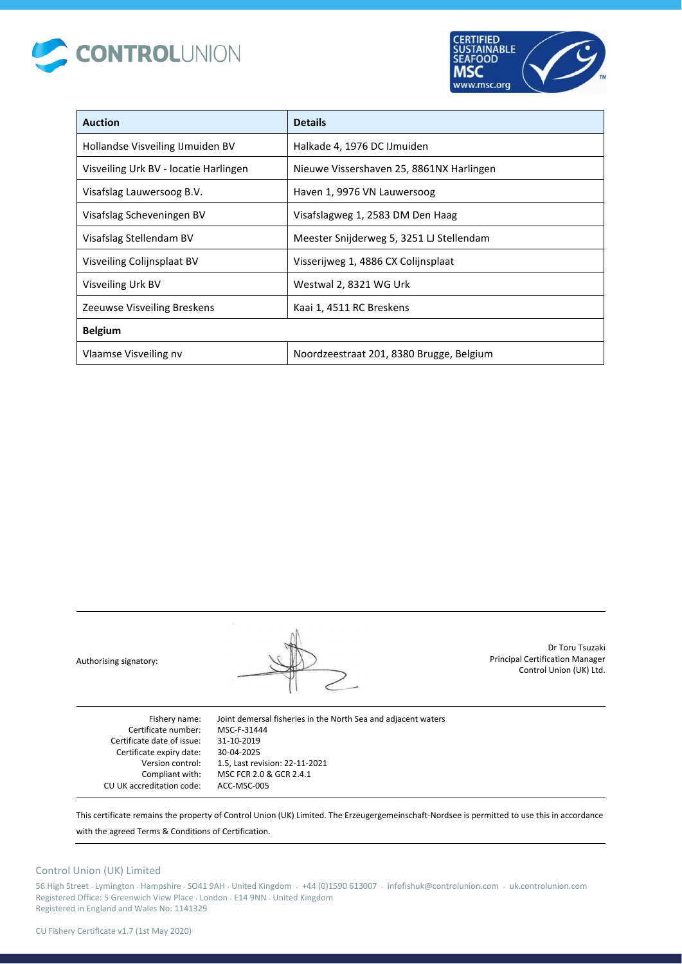



| <b>Auction</b>                        | <b>Details</b>                           |  |
|---------------------------------------|------------------------------------------|--|
| Hollandse Visveiling IJ muiden BV     | Halkade 4, 1976 DC IJmuiden              |  |
| Visveiling Urk BV - locatie Harlingen | Nieuwe Vissershaven 25, 8861NX Harlingen |  |
| Visafslag Lauwersoog B.V.             | Haven 1, 9976 VN Lauwersoog              |  |
| Visafslag Scheveningen BV             | Visafslagweg 1, 2583 DM Den Haag         |  |
| Visafslag Stellendam BV               | Meester Snijderweg 5, 3251 LJ Stellendam |  |
| Visveiling Colijnsplaat BV            | Visserijweg 1, 4886 CX Colijnsplaat      |  |
| Visveiling Urk BV                     | Westwal 2, 8321 WG Urk                   |  |
| Zeeuwse Visveiling Breskens           | Kaai 1, 4511 RC Breskens                 |  |
| <b>Belgium</b>                        |                                          |  |
| Vlaamse Visveiling nv                 | Noordzeestraat 201, 8380 Brugge, Belgium |  |

Authorising signatory:

Dr Toru Tsuzaki Principal Certification Manager Control Union (UK) Ltd.

Fishery name: Certificate number: Certificate date of issue: Certificate expiry date: Version control: Compliant with: CU UK accreditation code: Joint demersal fisheries in the North Sea and adjacent waters MSC-F-31444 31-10-2019 30-04-2025 1.5, Last revision: 22-11-2021 MSC FCR 2.0 & GCR 2.4.1 ACC-MSC-005

This certificate remains the property of Control Union (UK) Limited. The Erzeugergemeinschaft-Nordsee is permitted to use this in accordance

with the agreed Terms & Conditions of Certification.

## Control Union (UK) Limited